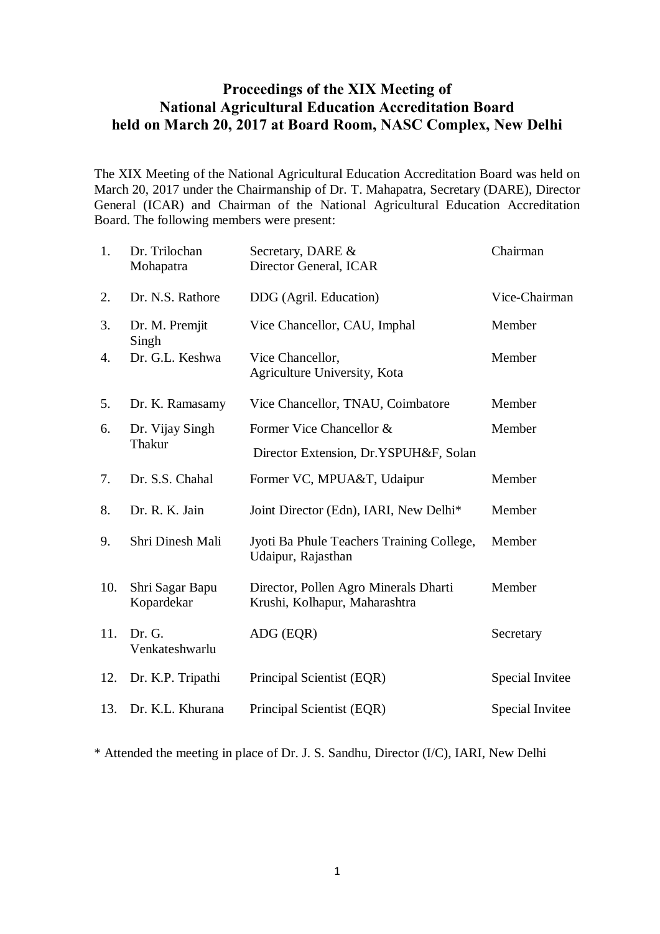# **Proceedings of the XIX Meeting of National Agricultural Education Accreditation Board held on March 20, 2017 at Board Room, NASC Complex, New Delhi**

The XIX Meeting of the National Agricultural Education Accreditation Board was held on March 20, 2017 under the Chairmanship of Dr. T. Mahapatra, Secretary (DARE), Director General (ICAR) and Chairman of the National Agricultural Education Accreditation Board. The following members were present:

| 1.  | Dr. Trilochan<br>Mohapatra    | Secretary, DARE &<br>Director General, ICAR                            | Chairman        |
|-----|-------------------------------|------------------------------------------------------------------------|-----------------|
| 2.  | Dr. N.S. Rathore              | DDG (Agril. Education)                                                 | Vice-Chairman   |
| 3.  | Dr. M. Premjit<br>Singh       | Vice Chancellor, CAU, Imphal                                           | Member          |
| 4.  | Dr. G.L. Keshwa               | Vice Chancellor,<br>Agriculture University, Kota                       | Member          |
| 5.  | Dr. K. Ramasamy               | Vice Chancellor, TNAU, Coimbatore                                      | Member          |
| 6.  | Dr. Vijay Singh<br>Thakur     | Former Vice Chancellor &                                               | Member          |
|     |                               | Director Extension, Dr.YSPUH&F, Solan                                  |                 |
| 7.  | Dr. S.S. Chahal               | Former VC, MPUA&T, Udaipur                                             | Member          |
| 8.  | Dr. R. K. Jain                | Joint Director (Edn), IARI, New Delhi*                                 | Member          |
| 9.  | Shri Dinesh Mali              | Jyoti Ba Phule Teachers Training College,<br>Udaipur, Rajasthan        | Member          |
| 10. | Shri Sagar Bapu<br>Kopardekar | Director, Pollen Agro Minerals Dharti<br>Krushi, Kolhapur, Maharashtra | Member          |
| 11. | Dr. G.<br>Venkateshwarlu      | ADG (EQR)                                                              | Secretary       |
| 12. | Dr. K.P. Tripathi             | Principal Scientist (EQR)                                              | Special Invitee |
| 13. | Dr. K.L. Khurana              | Principal Scientist (EQR)                                              | Special Invitee |

\* Attended the meeting in place of Dr. J. S. Sandhu, Director (I/C), IARI, New Delhi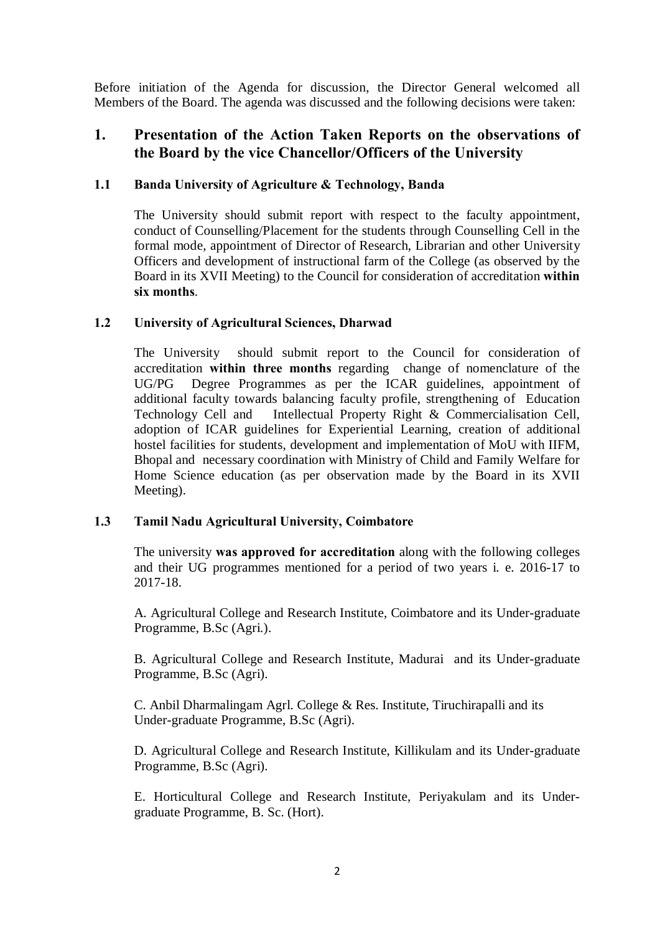Before initiation of the Agenda for discussion, the Director General welcomed all Members of the Board. The agenda was discussed and the following decisions were taken:

## **1. Presentation of the Action Taken Reports on the observations of the Board by the vice Chancellor/Officers of the University**

## **1.1 Banda University of Agriculture & Technology, Banda**

The University should submit report with respect to the faculty appointment, conduct of Counselling/Placement for the students through Counselling Cell in the formal mode, appointment of Director of Research, Librarian and other University Officers and development of instructional farm of the College (as observed by the Board in its XVII Meeting) to the Council for consideration of accreditation **within six months**.

#### **1.2 University of Agricultural Sciences, Dharwad**

The University should submit report to the Council for consideration of accreditation **within three months** regarding change of nomenclature of the UG/PG Degree Programmes as per the ICAR guidelines, appointment of additional faculty towards balancing faculty profile, strengthening of Education Technology Cell and Intellectual Property Right & Commercialisation Cell, adoption of ICAR guidelines for Experiential Learning, creation of additional hostel facilities for students, development and implementation of MoU with IIFM, Bhopal and necessary coordination with Ministry of Child and Family Welfare for Home Science education (as per observation made by the Board in its XVII Meeting).

#### **1.3 Tamil Nadu Agricultural University, Coimbatore**

The university **was approved for accreditation** along with the following colleges and their UG programmes mentioned for a period of two years i. e. 2016-17 to 2017-18.

A. Agricultural College and Research Institute, Coimbatore and its Under-graduate Programme, B.Sc (Agri.).

B. Agricultural College and Research Institute, Madurai and its Under-graduate Programme, B.Sc (Agri).

C. Anbil Dharmalingam Agrl. College & Res. Institute, Tiruchirapalli and its Under-graduate Programme, B.Sc (Agri).

D. Agricultural College and Research Institute, Killikulam and its Under-graduate Programme, B.Sc (Agri).

E. Horticultural College and Research Institute, Periyakulam and its Undergraduate Programme, B. Sc. (Hort).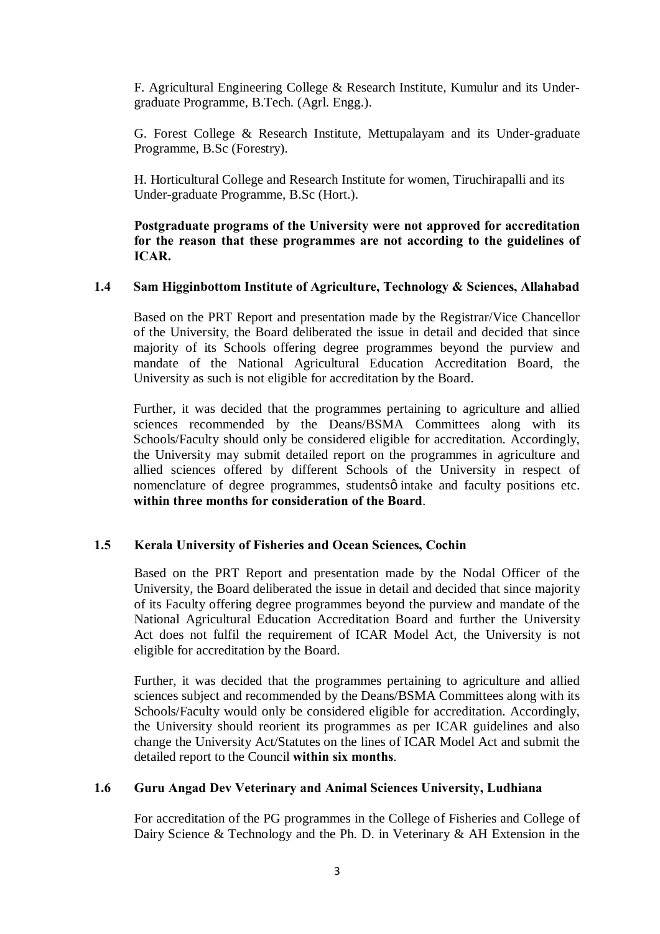F. Agricultural Engineering College & Research Institute, Kumulur and its Undergraduate Programme, B.Tech. (Agrl. Engg.).

G. Forest College & Research Institute, Mettupalayam and its Under-graduate Programme, B.Sc (Forestry).

H. Horticultural College and Research Institute for women, Tiruchirapalli and its Under-graduate Programme, B.Sc (Hort.).

**Postgraduate programs of the University were not approved for accreditation for the reason that these programmes are not according to the guidelines of ICAR.**

#### **1.4 Sam Higginbottom Institute of Agriculture, Technology & Sciences, Allahabad**

Based on the PRT Report and presentation made by the Registrar/Vice Chancellor of the University, the Board deliberated the issue in detail and decided that since majority of its Schools offering degree programmes beyond the purview and mandate of the National Agricultural Education Accreditation Board, the University as such is not eligible for accreditation by the Board.

Further, it was decided that the programmes pertaining to agriculture and allied sciences recommended by the Deans/BSMA Committees along with its Schools/Faculty should only be considered eligible for accreditation. Accordingly, the University may submit detailed report on the programmes in agriculture and allied sciences offered by different Schools of the University in respect of nomenclature of degree programmes, students o intake and faculty positions etc. **within three months for consideration of the Board**.

## **1.5 Kerala University of Fisheries and Ocean Sciences, Cochin**

Based on the PRT Report and presentation made by the Nodal Officer of the University, the Board deliberated the issue in detail and decided that since majority of its Faculty offering degree programmes beyond the purview and mandate of the National Agricultural Education Accreditation Board and further the University Act does not fulfil the requirement of ICAR Model Act, the University is not eligible for accreditation by the Board.

Further, it was decided that the programmes pertaining to agriculture and allied sciences subject and recommended by the Deans/BSMA Committees along with its Schools/Faculty would only be considered eligible for accreditation. Accordingly, the University should reorient its programmes as per ICAR guidelines and also change the University Act/Statutes on the lines of ICAR Model Act and submit the detailed report to the Council **within six months**.

## **1.6 Guru Angad Dev Veterinary and Animal Sciences University, Ludhiana**

For accreditation of the PG programmes in the College of Fisheries and College of Dairy Science & Technology and the Ph. D. in Veterinary & AH Extension in the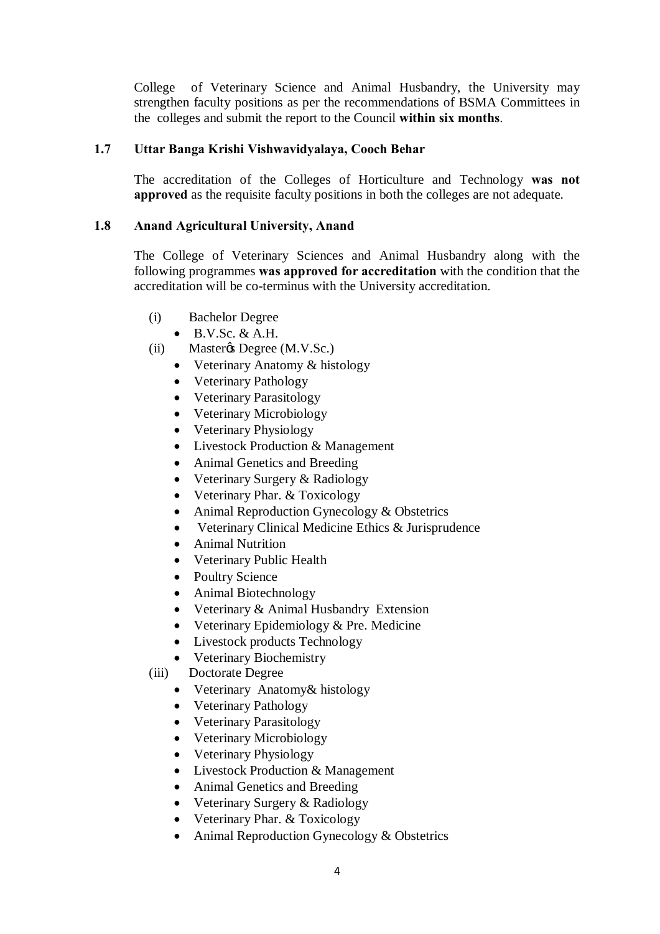College of Veterinary Science and Animal Husbandry, the University may strengthen faculty positions as per the recommendations of BSMA Committees in the colleges and submit the report to the Council **within six months**.

## **1.7 Uttar Banga Krishi Vishwavidyalaya, Cooch Behar**

The accreditation of the Colleges of Horticulture and Technology **was not approved** as the requisite faculty positions in both the colleges are not adequate.

#### **1.8 Anand Agricultural University, Anand**

The College of Veterinary Sciences and Animal Husbandry along with the following programmes **was approved for accreditation** with the condition that the accreditation will be co-terminus with the University accreditation.

- (i) Bachelor Degree
	- $\bullet$  B.V.Sc. & A.H.
- $(ii)$  Master $\&$  Degree (M.V.Sc.)
	- Veterinary Anatomy & histology
	- Veterinary Pathology
	- Veterinary Parasitology
	- Veterinary Microbiology
	- Veterinary Physiology
	- Livestock Production & Management
	- Animal Genetics and Breeding
	- Veterinary Surgery & Radiology
	- Veterinary Phar. & Toxicology
	- Animal Reproduction Gynecology & Obstetrics
	- Veterinary Clinical Medicine Ethics & Jurisprudence
	- Animal Nutrition
	- · Veterinary Public Health
	- Poultry Science
	- Animal Biotechnology
	- Veterinary & Animal Husbandry Extension
	- Veterinary Epidemiology & Pre. Medicine
	- Livestock products Technology
	- · Veterinary Biochemistry
- (iii) Doctorate Degree
	- Veterinary Anatomy & histology
	- Veterinary Pathology
	- Veterinary Parasitology
	- Veterinary Microbiology
	- Veterinary Physiology
	- Livestock Production & Management
	- Animal Genetics and Breeding
	- Veterinary Surgery & Radiology
	- Veterinary Phar. & Toxicology
	- Animal Reproduction Gynecology & Obstetrics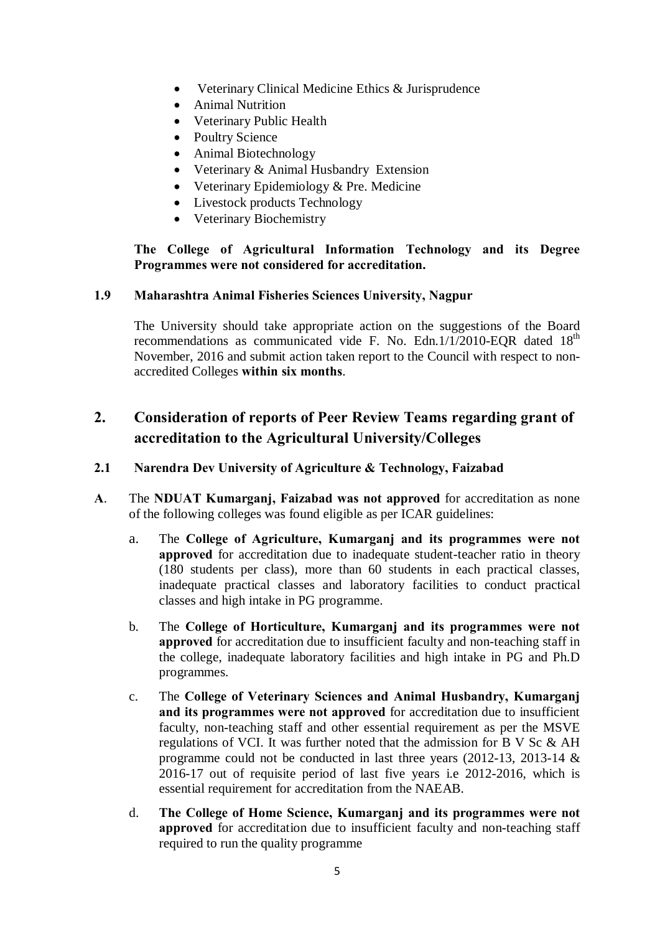- Veterinary Clinical Medicine Ethics & Jurisprudence
- Animal Nutrition
- · Veterinary Public Health
- Poultry Science
- Animal Biotechnology
- Veterinary & Animal Husbandry Extension
- Veterinary Epidemiology & Pre. Medicine
- Livestock products Technology
- · Veterinary Biochemistry

**The College of Agricultural Information Technology and its Degree Programmes were not considered for accreditation.** 

## **1.9 Maharashtra Animal Fisheries Sciences University, Nagpur**

The University should take appropriate action on the suggestions of the Board recommendations as communicated vide F. No. Edn.1/1/2010-EQR dated  $18<sup>th</sup>$ November, 2016 and submit action taken report to the Council with respect to nonaccredited Colleges **within six months**.

# **2. Consideration of reports of Peer Review Teams regarding grant of accreditation to the Agricultural University/Colleges**

## **2.1 Narendra Dev University of Agriculture & Technology, Faizabad**

- **A**. The **NDUAT Kumarganj, Faizabad was not approved** for accreditation as none of the following colleges was found eligible as per ICAR guidelines:
	- a. The **College of Agriculture, Kumarganj and its programmes were not approved** for accreditation due to inadequate student-teacher ratio in theory (180 students per class), more than 60 students in each practical classes, inadequate practical classes and laboratory facilities to conduct practical classes and high intake in PG programme.
	- b. The **College of Horticulture, Kumarganj and its programmes were not approved** for accreditation due to insufficient faculty and non-teaching staff in the college, inadequate laboratory facilities and high intake in PG and Ph.D programmes.
	- c. The **College of Veterinary Sciences and Animal Husbandry, Kumarganj and its programmes were not approved** for accreditation due to insufficient faculty, non-teaching staff and other essential requirement as per the MSVE regulations of VCI. It was further noted that the admission for B V Sc & AH programme could not be conducted in last three years (2012-13, 2013-14 & 2016-17 out of requisite period of last five years i.e 2012-2016, which is essential requirement for accreditation from the NAEAB.
	- d. **The College of Home Science, Kumarganj and its programmes were not approved** for accreditation due to insufficient faculty and non-teaching staff required to run the quality programme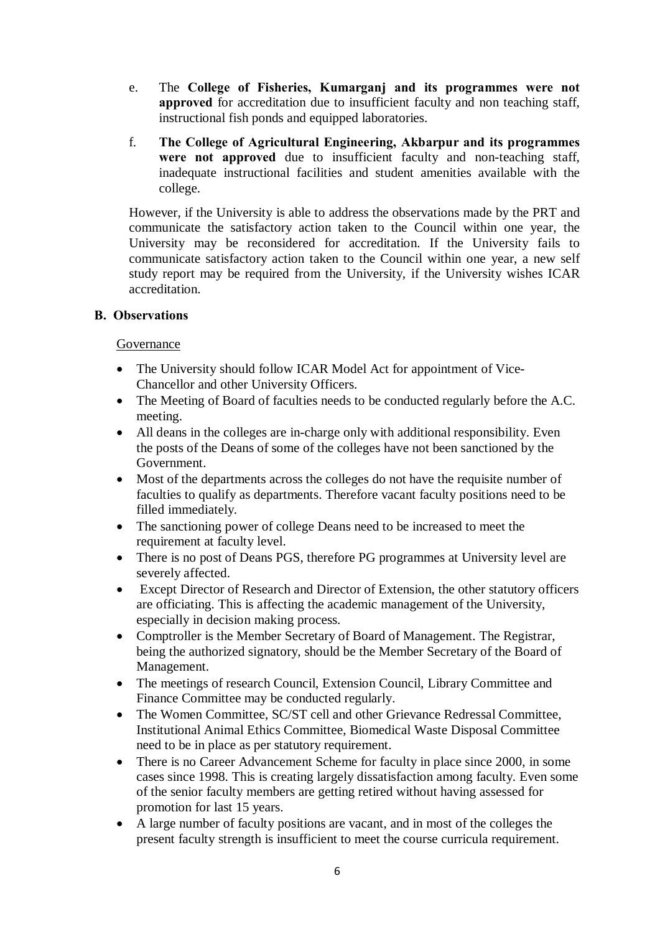- e. The **College of Fisheries, Kumarganj and its programmes were not approved** for accreditation due to insufficient faculty and non teaching staff, instructional fish ponds and equipped laboratories.
- f. **The College of Agricultural Engineering, Akbarpur and its programmes were not approved** due to insufficient faculty and non-teaching staff, inadequate instructional facilities and student amenities available with the college.

However, if the University is able to address the observations made by the PRT and communicate the satisfactory action taken to the Council within one year, the University may be reconsidered for accreditation. If the University fails to communicate satisfactory action taken to the Council within one year, a new self study report may be required from the University, if the University wishes ICAR accreditation.

## **B. Observations**

#### Governance

- The University should follow ICAR Model Act for appointment of Vice-Chancellor and other University Officers.
- The Meeting of Board of faculties needs to be conducted regularly before the A.C. meeting.
- · All deans in the colleges are in-charge only with additional responsibility. Even the posts of the Deans of some of the colleges have not been sanctioned by the Government.
- Most of the departments across the colleges do not have the requisite number of faculties to qualify as departments. Therefore vacant faculty positions need to be filled immediately.
- The sanctioning power of college Deans need to be increased to meet the requirement at faculty level.
- There is no post of Deans PGS, therefore PG programmes at University level are severely affected.
- · Except Director of Research and Director of Extension, the other statutory officers are officiating. This is affecting the academic management of the University, especially in decision making process.
- · Comptroller is the Member Secretary of Board of Management. The Registrar, being the authorized signatory, should be the Member Secretary of the Board of Management.
- · The meetings of research Council, Extension Council, Library Committee and Finance Committee may be conducted regularly.
- The Women Committee, SC/ST cell and other Grievance Redressal Committee, Institutional Animal Ethics Committee, Biomedical Waste Disposal Committee need to be in place as per statutory requirement.
- There is no Career Advancement Scheme for faculty in place since 2000, in some cases since 1998. This is creating largely dissatisfaction among faculty. Even some of the senior faculty members are getting retired without having assessed for promotion for last 15 years.
- · A large number of faculty positions are vacant, and in most of the colleges the present faculty strength is insufficient to meet the course curricula requirement.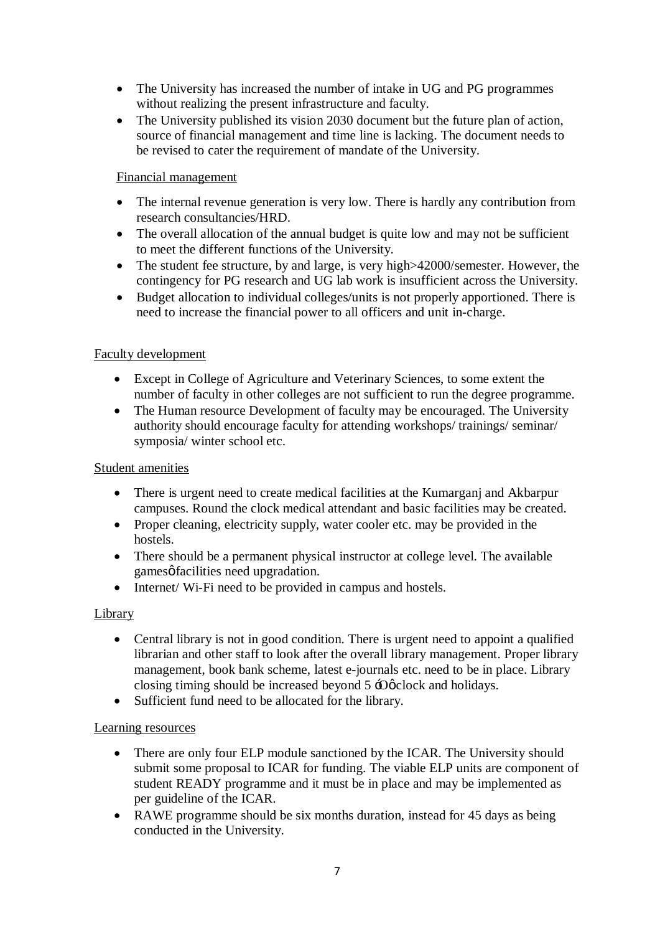- The University has increased the number of intake in UG and PG programmes without realizing the present infrastructure and faculty.
- The University published its vision 2030 document but the future plan of action, source of financial management and time line is lacking. The document needs to be revised to cater the requirement of mandate of the University.

#### Financial management

- The internal revenue generation is very low. There is hardly any contribution from research consultancies/HRD.
- The overall allocation of the annual budget is quite low and may not be sufficient to meet the different functions of the University.
- The student fee structure, by and large, is very high > 42000/semester. However, the contingency for PG research and UG lab work is insufficient across the University.
- · Budget allocation to individual colleges/units is not properly apportioned. There is need to increase the financial power to all officers and unit in-charge.

## Faculty development

- · Except in College of Agriculture and Veterinary Sciences, to some extent the number of faculty in other colleges are not sufficient to run the degree programme.
- The Human resource Development of faculty may be encouraged. The University authority should encourage faculty for attending workshops/ trainings/ seminar/ symposia/ winter school etc.

#### Student amenities

- There is urgent need to create medical facilities at the Kumarganj and Akbarpur campuses. Round the clock medical attendant and basic facilities may be created.
- Proper cleaning, electricity supply, water cooler etc. may be provided in the hostels.
- There should be a permanent physical instructor at college level. The available games of acilities need upgradation.
- Internet/ Wi-Fi need to be provided in campus and hostels.

#### Library

- Central library is not in good condition. There is urgent need to appoint a qualified librarian and other staff to look after the overall library management. Proper library management, book bank scheme, latest e-journals etc. need to be in place. Library closing timing should be increased beyond  $5 \div 0$   $\phi$  clock and holidays.
- Sufficient fund need to be allocated for the library.

#### Learning resources

- There are only four ELP module sanctioned by the ICAR. The University should submit some proposal to ICAR for funding. The viable ELP units are component of student READY programme and it must be in place and may be implemented as per guideline of the ICAR.
- RAWE programme should be six months duration, instead for 45 days as being conducted in the University.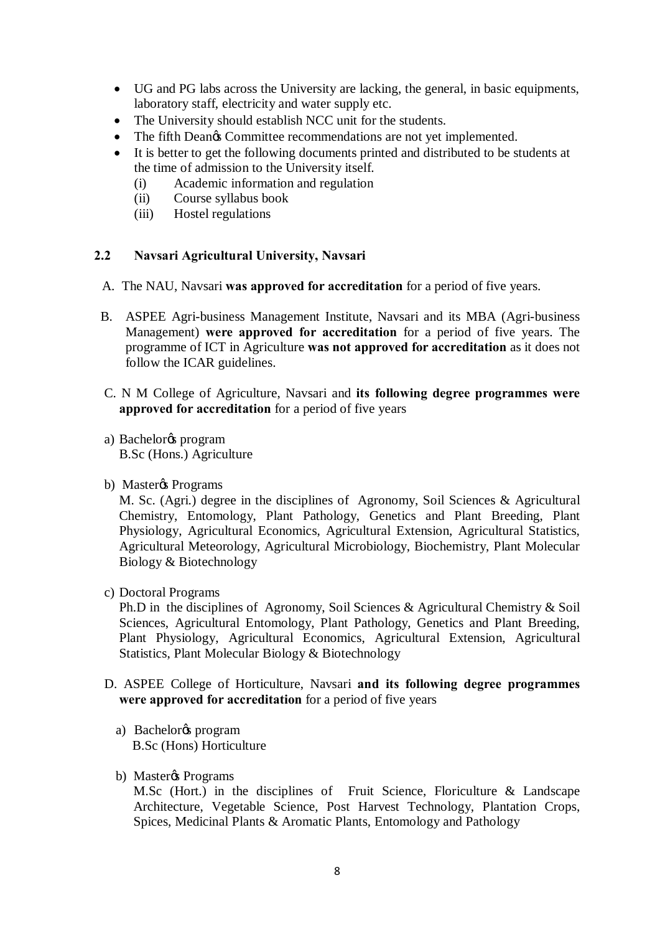- · UG and PG labs across the University are lacking, the general, in basic equipments, laboratory staff, electricity and water supply etc.
- The University should establish NCC unit for the students.
- The fifth Dean $\alpha$  Committee recommendations are not vet implemented.
- · It is better to get the following documents printed and distributed to be students at the time of admission to the University itself.
	- (i) Academic information and regulation
	- (ii) Course syllabus book
	- (iii) Hostel regulations

#### **2.2 Navsari Agricultural University, Navsari**

- A. The NAU, Navsari **was approved for accreditation** for a period of five years.
- B. ASPEE Agri-business Management Institute, Navsari and its MBA (Agri-business Management) **were approved for accreditation** for a period of five years. The programme of ICT in Agriculture **was not approved for accreditation** as it does not follow the ICAR guidelines.
- C. N M College of Agriculture, Navsari and **its following degree programmes were approved for accreditation** for a period of five years
- a) Bachelor<sub>®</sub> program B.Sc (Hons.) Agriculture
- b) Masteros Programs

M. Sc. (Agri.) degree in the disciplines of Agronomy, Soil Sciences & Agricultural Chemistry, Entomology, Plant Pathology, Genetics and Plant Breeding, Plant Physiology, Agricultural Economics, Agricultural Extension, Agricultural Statistics, Agricultural Meteorology, Agricultural Microbiology, Biochemistry, Plant Molecular Biology & Biotechnology

c) Doctoral Programs

Ph.D in the disciplines of Agronomy, Soil Sciences & Agricultural Chemistry & Soil Sciences, Agricultural Entomology, Plant Pathology, Genetics and Plant Breeding, Plant Physiology, Agricultural Economics, Agricultural Extension, Agricultural Statistics, Plant Molecular Biology & Biotechnology

- D. ASPEE College of Horticulture, Navsari **and its following degree programmes were approved for accreditation** for a period of five years
	- a) Bachelor<sub>®</sub> program B.Sc (Hons) Horticulture
	- b) Master $\&$  Programs

M.Sc (Hort.) in the disciplines of Fruit Science, Floriculture & Landscape Architecture, Vegetable Science, Post Harvest Technology, Plantation Crops, Spices, Medicinal Plants & Aromatic Plants, Entomology and Pathology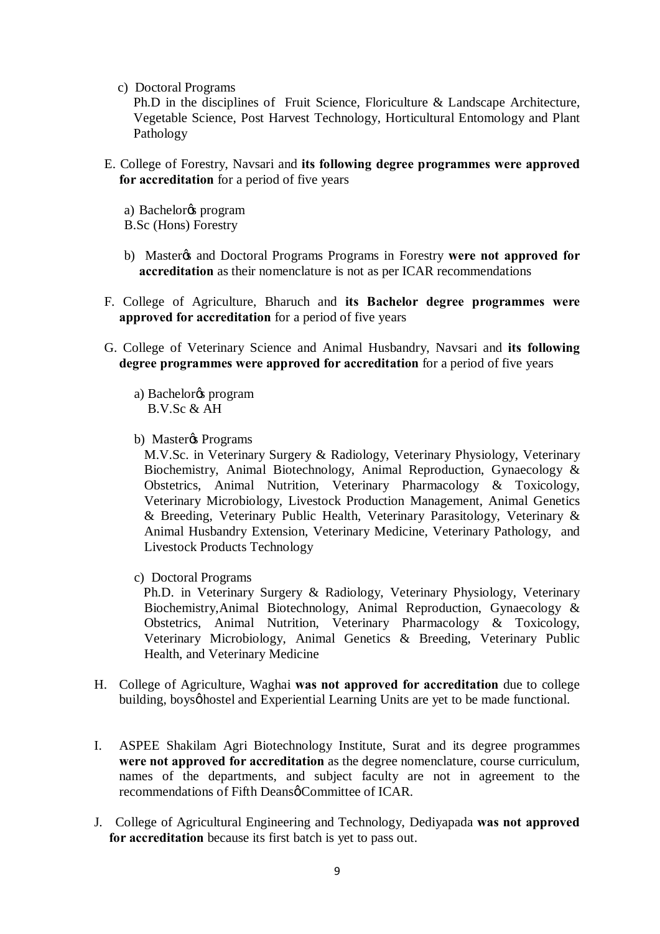c) Doctoral Programs

Ph.D in the disciplines of Fruit Science, Floriculture & Landscape Architecture, Vegetable Science, Post Harvest Technology, Horticultural Entomology and Plant Pathology

- E. College of Forestry, Navsari and **its following degree programmes were approved for accreditation** for a period of five years
	- a) Bachelor<sub>®</sub> program
	- B.Sc (Hons) Forestry
	- b) Master<sub>/8</sub> and Doctoral Programs Programs in Forestry were not approved for **accreditation** as their nomenclature is not as per ICAR recommendations
- F. College of Agriculture, Bharuch and **its Bachelor degree programmes were approved for accreditation** for a period of five years
- G. College of Veterinary Science and Animal Husbandry, Navsari and **its following degree programmes were approved for accreditation** for a period of five years
	- a) Bachelor<sub>®</sub> program B.V.Sc & AH
	- b) Master $\&$  Programs

M.V.Sc. in Veterinary Surgery & Radiology, Veterinary Physiology, Veterinary Biochemistry, Animal Biotechnology, Animal Reproduction, Gynaecology & Obstetrics, Animal Nutrition, Veterinary Pharmacology & Toxicology, Veterinary Microbiology, Livestock Production Management, Animal Genetics & Breeding, Veterinary Public Health, Veterinary Parasitology, Veterinary & Animal Husbandry Extension, Veterinary Medicine, Veterinary Pathology, and Livestock Products Technology

c) Doctoral Programs

 Ph.D. in Veterinary Surgery & Radiology, Veterinary Physiology, Veterinary Biochemistry,Animal Biotechnology, Animal Reproduction, Gynaecology & Obstetrics, Animal Nutrition, Veterinary Pharmacology & Toxicology, Veterinary Microbiology, Animal Genetics & Breeding, Veterinary Public Health, and Veterinary Medicine

- H. College of Agriculture, Waghai **was not approved for accreditation** due to college building, boysø hostel and Experiential Learning Units are yet to be made functional.
- I. ASPEE Shakilam Agri Biotechnology Institute, Surat and its degree programmes **were not approved for accreditation** as the degree nomenclature, course curriculum, names of the departments, and subject faculty are not in agreement to the recommendations of Fifth Deans Committee of ICAR.
- J. College of Agricultural Engineering and Technology, Dediyapada **was not approved for accreditation** because its first batch is yet to pass out.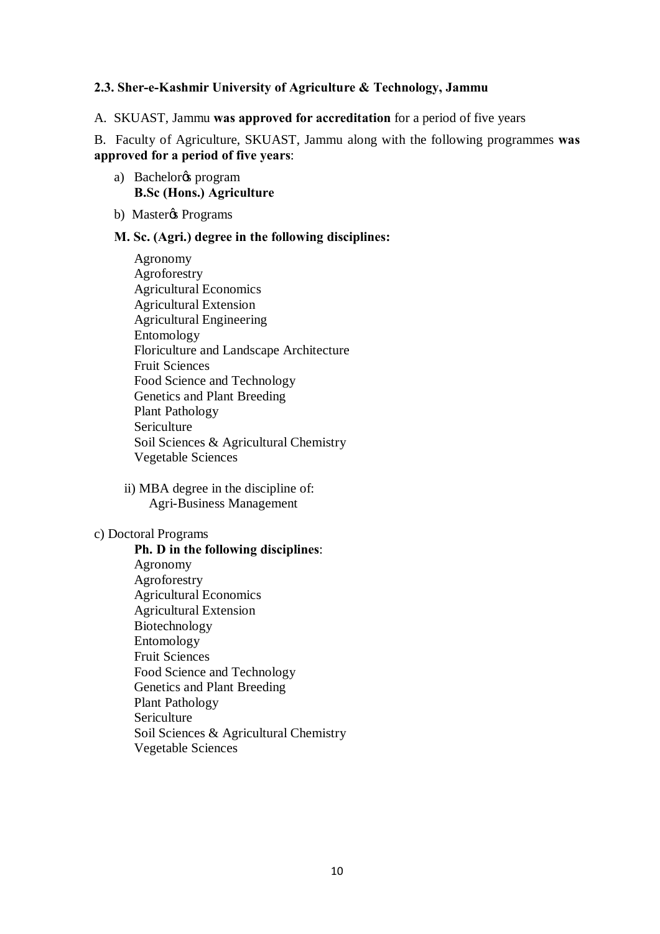#### **2.3. Sher-e-Kashmir University of Agriculture & Technology, Jammu**

A. SKUAST, Jammu **was approved for accreditation** for a period of five years

B. Faculty of Agriculture, SKUAST, Jammu along with the following programmes **was approved for a period of five years**:

- a) Bachelor<sub>®</sub> program **B.Sc (Hons.) Agriculture**
- b) Master $\&$  Programs

#### **M. Sc. (Agri.) degree in the following disciplines:**

- Agronomy Agroforestry Agricultural Economics Agricultural Extension Agricultural Engineering Entomology Floriculture and Landscape Architecture Fruit Sciences Food Science and Technology Genetics and Plant Breeding Plant Pathology Sericulture Soil Sciences & Agricultural Chemistry Vegetable Sciences
- ii) MBA degree in the discipline of: Agri-Business Management

#### c) Doctoral Programs

**Ph. D in the following disciplines**: Agronomy Agroforestry Agricultural Economics Agricultural Extension Biotechnology Entomology Fruit Sciences Food Science and Technology Genetics and Plant Breeding Plant Pathology Sericulture Soil Sciences & Agricultural Chemistry Vegetable Sciences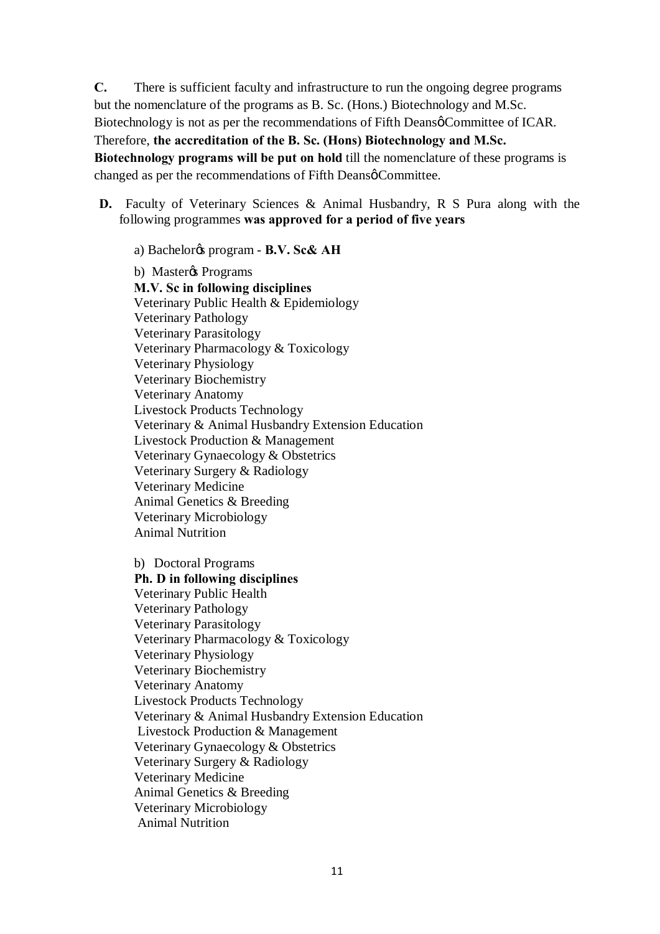**C.** There is sufficient faculty and infrastructure to run the ongoing degree programs but the nomenclature of the programs as B. Sc. (Hons.) Biotechnology and M.Sc. Biotechnology is not as per the recommendations of Fifth Deansø Committee of ICAR. Therefore, **the accreditation of the B. Sc. (Hons) Biotechnology and M.Sc. Biotechnology programs will be put on hold** till the nomenclature of these programs is changed as per the recommendations of Fifth Deansø Committee.

**D.** Faculty of Veterinary Sciences & Animal Husbandry, R S Pura along with the following programmes **was approved for a period of five years**

a) Bachelor's program - **B.V. Sc& AH**

b) Master $\circ$ s Programs **M.V. Sc in following disciplines** Veterinary Public Health & Epidemiology Veterinary Pathology Veterinary Parasitology Veterinary Pharmacology & Toxicology Veterinary Physiology Veterinary Biochemistry Veterinary Anatomy Livestock Products Technology Veterinary & Animal Husbandry Extension Education Livestock Production & Management Veterinary Gynaecology & Obstetrics Veterinary Surgery & Radiology Veterinary Medicine Animal Genetics & Breeding Veterinary Microbiology Animal Nutrition

b) Doctoral Programs **Ph. D in following disciplines** Veterinary Public Health Veterinary Pathology Veterinary Parasitology Veterinary Pharmacology & Toxicology Veterinary Physiology Veterinary Biochemistry Veterinary Anatomy Livestock Products Technology Veterinary & Animal Husbandry Extension Education Livestock Production & Management Veterinary Gynaecology & Obstetrics Veterinary Surgery & Radiology Veterinary Medicine Animal Genetics & Breeding Veterinary Microbiology Animal Nutrition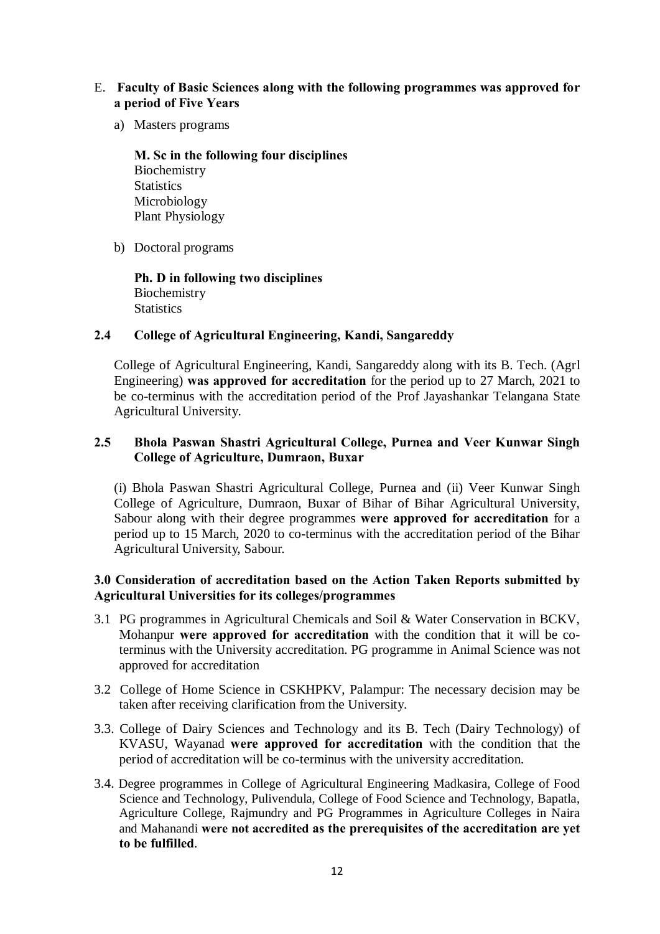- E. **Faculty of Basic Sciences along with the following programmes was approved for a period of Five Years**
	- a) Masters programs

**M. Sc in the following four disciplines** Biochemistry **Statistics** Microbiology Plant Physiology

b) Doctoral programs

**Ph. D in following two disciplines** Biochemistry **Statistics** 

#### **2.4 College of Agricultural Engineering, Kandi, Sangareddy**

College of Agricultural Engineering, Kandi, Sangareddy along with its B. Tech. (Agrl Engineering) **was approved for accreditation** for the period up to 27 March, 2021 to be co-terminus with the accreditation period of the Prof Jayashankar Telangana State Agricultural University.

## **2.5 Bhola Paswan Shastri Agricultural College, Purnea and Veer Kunwar Singh College of Agriculture, Dumraon, Buxar**

(i) Bhola Paswan Shastri Agricultural College, Purnea and (ii) Veer Kunwar Singh College of Agriculture, Dumraon, Buxar of Bihar of Bihar Agricultural University, Sabour along with their degree programmes **were approved for accreditation** for a period up to 15 March, 2020 to co-terminus with the accreditation period of the Bihar Agricultural University, Sabour.

#### **3.0 Consideration of accreditation based on the Action Taken Reports submitted by Agricultural Universities for its colleges/programmes**

- 3.1 PG programmes in Agricultural Chemicals and Soil & Water Conservation in BCKV, Mohanpur **were approved for accreditation** with the condition that it will be coterminus with the University accreditation. PG programme in Animal Science was not approved for accreditation
- 3.2 College of Home Science in CSKHPKV, Palampur: The necessary decision may be taken after receiving clarification from the University.
- 3.3. College of Dairy Sciences and Technology and its B. Tech (Dairy Technology) of KVASU, Wayanad **were approved for accreditation** with the condition that the period of accreditation will be co-terminus with the university accreditation.
- 3.4. Degree programmes in College of Agricultural Engineering Madkasira, College of Food Science and Technology, Pulivendula, College of Food Science and Technology, Bapatla, Agriculture College, Rajmundry and PG Programmes in Agriculture Colleges in Naira and Mahanandi **were not accredited as the prerequisites of the accreditation are yet to be fulfilled**.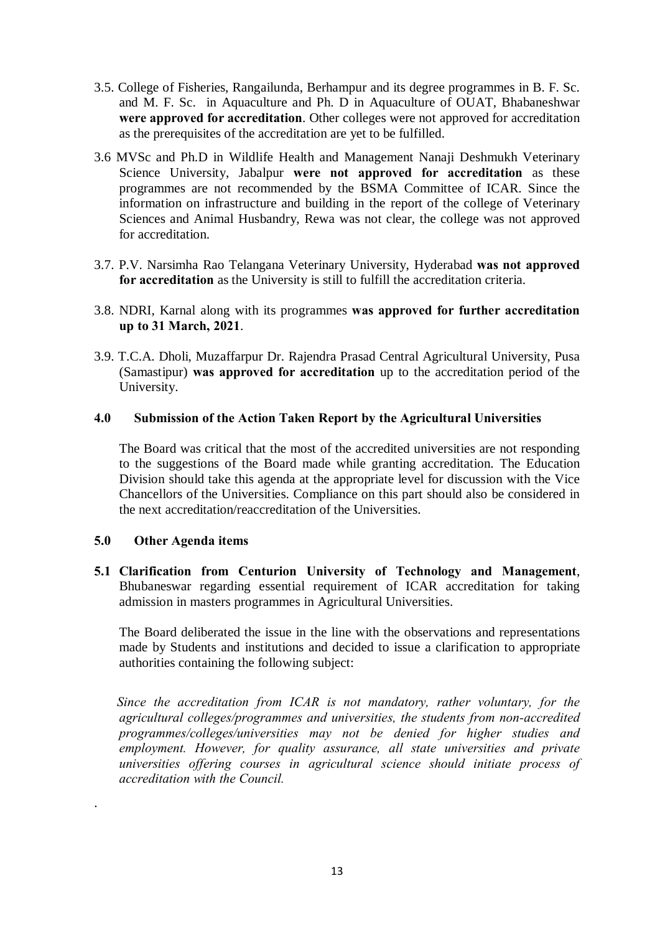- 3.5. College of Fisheries, Rangailunda, Berhampur and its degree programmes in B. F. Sc. and M. F. Sc. in Aquaculture and Ph. D in Aquaculture of OUAT, Bhabaneshwar **were approved for accreditation**. Other colleges were not approved for accreditation as the prerequisites of the accreditation are yet to be fulfilled.
- 3.6 MVSc and Ph.D in Wildlife Health and Management Nanaji Deshmukh Veterinary Science University, Jabalpur **were not approved for accreditation** as these programmes are not recommended by the BSMA Committee of ICAR. Since the information on infrastructure and building in the report of the college of Veterinary Sciences and Animal Husbandry, Rewa was not clear, the college was not approved for accreditation.
- 3.7. P.V. Narsimha Rao Telangana Veterinary University, Hyderabad **was not approved for accreditation** as the University is still to fulfill the accreditation criteria.
- 3.8. NDRI, Karnal along with its programmes **was approved for further accreditation up to 31 March, 2021**.
- 3.9. T.C.A. Dholi, Muzaffarpur Dr. Rajendra Prasad Central Agricultural University, Pusa (Samastipur) **was approved for accreditation** up to the accreditation period of the University.

#### **4.0 Submission of the Action Taken Report by the Agricultural Universities**

The Board was critical that the most of the accredited universities are not responding to the suggestions of the Board made while granting accreditation. The Education Division should take this agenda at the appropriate level for discussion with the Vice Chancellors of the Universities. Compliance on this part should also be considered in the next accreditation/reaccreditation of the Universities.

#### **5.0 Other Agenda items**

.

**5.1 Clarification from Centurion University of Technology and Management**, Bhubaneswar regarding essential requirement of ICAR accreditation for taking admission in masters programmes in Agricultural Universities.

 The Board deliberated the issue in the line with the observations and representations made by Students and institutions and decided to issue a clarification to appropriate authorities containing the following subject:

 *Since the accreditation from ICAR is not mandatory, rather voluntary, for the agricultural colleges/programmes and universities, the students from non-accredited programmes/colleges/universities may not be denied for higher studies and employment. However, for quality assurance, all state universities and private universities offering courses in agricultural science should initiate process of accreditation with the Council.*